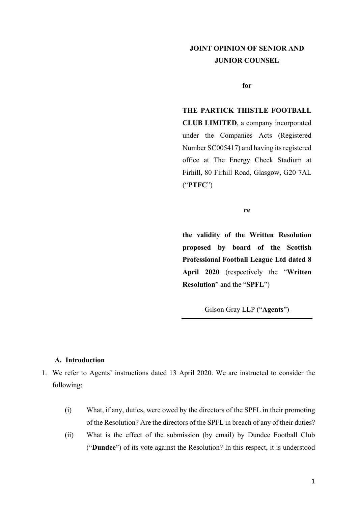# **JOINT OPINION OF SENIOR AND JUNIOR COUNSEL**

**for** 

# **THE PARTICK THISTLE FOOTBALL**

**CLUB LIMITED**, a company incorporated under the Companies Acts (Registered Number SC005417) and having its registered office at The Energy Check Stadium at Firhill, 80 Firhill Road, Glasgow, G20 7AL ("**PTFC**")

**re**

**the validity of the Written Resolution proposed by board of the Scottish Professional Football League Ltd dated 8 April 2020** (respectively the "**Written Resolution**" and the "**SPFL**")

Gilson Gray LLP ("**Agents**")

# **A. Introduction**

- 1. We refer to Agents' instructions dated 13 April 2020. We are instructed to consider the following:
	- (i) What, if any, duties, were owed by the directors of the SPFL in their promoting of the Resolution? Are the directors of the SPFL in breach of any of their duties?
	- (ii) What is the effect of the submission (by email) by Dundee Football Club ("**Dundee**") of its vote against the Resolution? In this respect, it is understood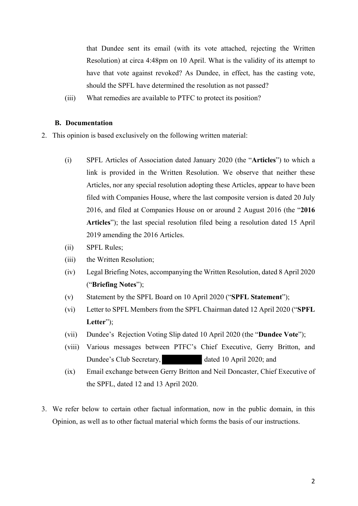that Dundee sent its email (with its vote attached, rejecting the Written Resolution) at circa 4:48pm on 10 April. What is the validity of its attempt to have that vote against revoked? As Dundee, in effect, has the casting vote, should the SPFL have determined the resolution as not passed?

(iii) What remedies are available to PTFC to protect its position?

## **B. Documentation**

- 2. This opinion is based exclusively on the following written material:
	- (i) SPFL Articles of Association dated January 2020 (the "**Articles**") to which a link is provided in the Written Resolution. We observe that neither these Articles, nor any special resolution adopting these Articles, appear to have been filed with Companies House, where the last composite version is dated 20 July 2016, and filed at Companies House on or around 2 August 2016 (the "**2016 Articles**"); the last special resolution filed being a resolution dated 15 April 2019 amending the 2016 Articles.
	- (ii) SPFL Rules;
	- (iii) the Written Resolution;
	- (iv) Legal Briefing Notes, accompanying the Written Resolution, dated 8 April 2020 ("**Briefing Notes**");
	- (v) Statement by the SPFL Board on 10 April 2020 ("**SPFL Statement**");
	- (vi) Letter to SPFL Members from the SPFL Chairman dated 12 April 2020 ("**SPFL Letter**");
	- (vii) Dundee's Rejection Voting Slip dated 10 April 2020 (the "**Dundee Vote**");
	- (viii) Various messages between PTFC's Chief Executive, Gerry Britton, and Dundee's Club Secretary, dated 10 April 2020; and
	- (ix) Email exchange between Gerry Britton and Neil Doncaster, Chief Executive of the SPFL, dated 12 and 13 April 2020.
- 3. We refer below to certain other factual information, now in the public domain, in this Opinion, as well as to other factual material which forms the basis of our instructions.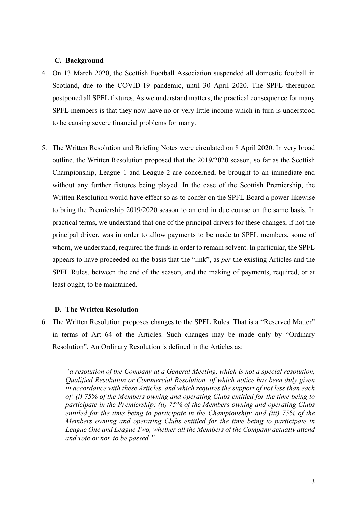# **C. Background**

- 4. On 13 March 2020, the Scottish Football Association suspended all domestic football in Scotland, due to the COVID-19 pandemic, until 30 April 2020. The SPFL thereupon postponed all SPFL fixtures. As we understand matters, the practical consequence for many SPFL members is that they now have no or very little income which in turn is understood to be causing severe financial problems for many.
- 5. The Written Resolution and Briefing Notes were circulated on 8 April 2020. In very broad outline, the Written Resolution proposed that the 2019/2020 season, so far as the Scottish Championship, League 1 and League 2 are concerned, be brought to an immediate end without any further fixtures being played. In the case of the Scottish Premiership, the Written Resolution would have effect so as to confer on the SPFL Board a power likewise to bring the Premiership 2019/2020 season to an end in due course on the same basis. In practical terms, we understand that one of the principal drivers for these changes, if not the principal driver, was in order to allow payments to be made to SPFL members, some of whom, we understand, required the funds in order to remain solvent. In particular, the SPFL appears to have proceeded on the basis that the "link", as *per* the existing Articles and the SPFL Rules, between the end of the season, and the making of payments, required, or at least ought, to be maintained.

## **D. The Written Resolution**

6. The Written Resolution proposes changes to the SPFL Rules. That is a "Reserved Matter" in terms of Art 64 of the Articles. Such changes may be made only by "Ordinary Resolution". An Ordinary Resolution is defined in the Articles as:

*"a resolution of the Company at a General Meeting, which is not a special resolution, Qualified Resolution or Commercial Resolution, of which notice has been duly given in accordance with these Articles, and which requires the support of not less than each of: (i) 75% of the Members owning and operating Clubs entitled for the time being to participate in the Premiership; (ii) 75% of the Members owning and operating Clubs entitled for the time being to participate in the Championship; and (iii) 75% of the Members owning and operating Clubs entitled for the time being to participate in League One and League Two, whether all the Members of the Company actually attend and vote or not, to be passed."*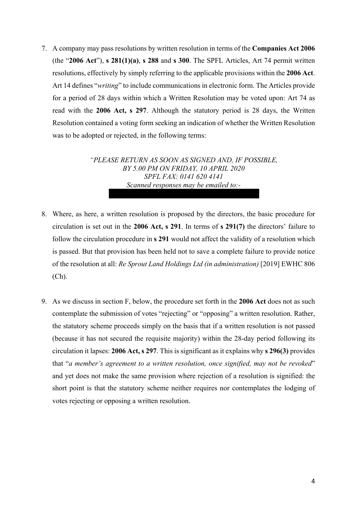7. A company may pass resolutions by written resolution in terms of the **Companies Act 2006**  (the "**2006 Act**"), **s 281(1)(a)**, **s 288** and **s 300**. The SPFL Articles, Art 74 permit written resolutions, effectively by simply referring to the applicable provisions within the **2006 Act**. Art 14 defines "*writing*" to include communications in electronic form. The Articles provide for a period of 28 days within which a Written Resolution may be voted upon: Art 74 as read with the **2006 Act, s 297**. Although the statutory period is 28 days, the Written Resolution contained a voting form seeking an indication of whether the Written Resolution was to be adopted or rejected, in the following terms:

> *"PLEASE RETURN AS SOON AS SIGNED AND, IF POSSIBLE, BY 5.00 PM ON FRIDAY, 10 APRIL 2020 SPFL FAX: 0141 620 4141 Scanned responses may be emailed to:-*

- 8. Where, as here, a written resolution is proposed by the directors, the basic procedure for circulation is set out in the **2006 Act, s 291**. In terms of **s 291(7)** the directors' failure to follow the circulation procedure in **s 291** would not affect the validity of a resolution which is passed. But that provision has been held not to save a complete failure to provide notice of the resolution at all: *Re Sprout Land Holdings Ltd (in administration)* [2019] EWHC 806  $(Ch).$
- 9. As we discuss in section F, below, the procedure set forth in the **2006 Act** does not as such contemplate the submission of votes "rejecting" or "opposing" a written resolution. Rather, the statutory scheme proceeds simply on the basis that if a written resolution is not passed (because it has not secured the requisite majority) within the 28-day period following its circulation it lapses: **2006 Act, s 297**. This is significant as it explains why **s 296(3)** provides that "*a member's agreement to a written resolution, once signified, may not be revoked*" and yet does not make the same provision where rejection of a resolution is signified: the short point is that the statutory scheme neither requires nor contemplates the lodging of votes rejecting or opposing a written resolution.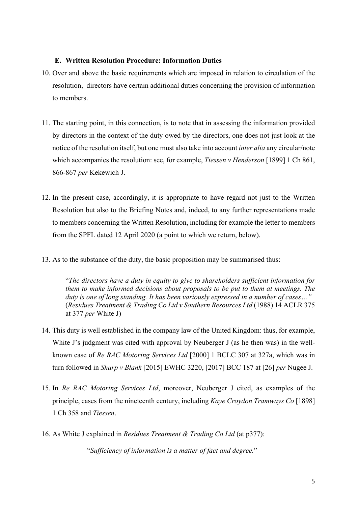# **E. Written Resolution Procedure: Information Duties**

- 10. Over and above the basic requirements which are imposed in relation to circulation of the resolution, directors have certain additional duties concerning the provision of information to members.
- 11. The starting point, in this connection, is to note that in assessing the information provided by directors in the context of the duty owed by the directors, one does not just look at the notice of the resolution itself, but one must also take into account *inter alia* any circular/note which accompanies the resolution: see, for example, *Tiessen v Henderson* [1899] 1 Ch 861, 866-867 *per* Kekewich J.
- 12. In the present case, accordingly, it is appropriate to have regard not just to the Written Resolution but also to the Briefing Notes and, indeed, to any further representations made to members concerning the Written Resolution, including for example the letter to members from the SPFL dated 12 April 2020 (a point to which we return, below).
- 13. As to the substance of the duty, the basic proposition may be summarised thus:

"*The directors have a duty in equity to give to shareholders sufficient information for them to make informed decisions about proposals to be put to them at meetings. The duty is one of long standing. It has been variously expressed in a number of cases…"*  (*Residues Treatment & Trading Co Ltd v Southern Resources Ltd* (1988) 14 ACLR 375 at 377 *per* White J)

- 14. This duty is well established in the company law of the United Kingdom: thus, for example, White J's judgment was cited with approval by Neuberger J (as he then was) in the wellknown case of *Re RAC Motoring Services Ltd* [2000] 1 BCLC 307 at 327a, which was in turn followed in *Sharp v Blank* [2015] EWHC 3220, [2017] BCC 187 at [26] *per* Nugee J.
- 15. In *Re RAC Motoring Services Ltd*, moreover, Neuberger J cited, as examples of the principle, cases from the nineteenth century, including *Kaye Croydon Tramways Co* [1898] 1 Ch 358 and *Tiessen*.
- 16. As White J explained in *Residues Treatment & Trading Co Ltd* (at p377):

"*Sufficiency of information is a matter of fact and degree.*"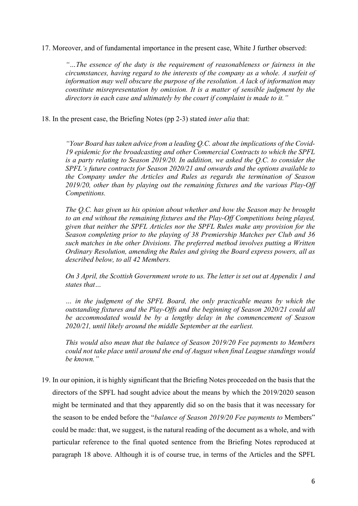17. Moreover, and of fundamental importance in the present case, White J further observed:

*"…The essence of the duty is the requirement of reasonableness or fairness in the circumstances, having regard to the interests of the company as a whole. A surfeit of information may well obscure the purpose of the resolution. A lack of information may constitute misrepresentation by omission. It is a matter of sensible judgment by the directors in each case and ultimately by the court if complaint is made to it."* 

18. In the present case, the Briefing Notes (pp 2-3) stated *inter alia* that:

*"Your Board has taken advice from a leading Q.C. about the implications of the Covid-19 epidemic for the broadcasting and other Commercial Contracts to which the SPFL is a party relating to Season 2019/20. In addition, we asked the Q.C. to consider the SPFL's future contracts for Season 2020/21 and onwards and the options available to the Company under the Articles and Rules as regards the termination of Season 2019/20, other than by playing out the remaining fixtures and the various Play-Off Competitions.* 

*The Q.C. has given us his opinion about whether and how the Season may be brought to an end without the remaining fixtures and the Play-Off Competitions being played, given that neither the SPFL Articles nor the SPFL Rules make any provision for the Season completing prior to the playing of 38 Premiership Matches per Club and 36 such matches in the other Divisions. The preferred method involves putting a Written Ordinary Resolution, amending the Rules and giving the Board express powers, all as described below, to all 42 Members.* 

*On 3 April, the Scottish Government wrote to us. The letter is set out at Appendix 1 and states that…* 

*… in the judgment of the SPFL Board, the only practicable means by which the outstanding fixtures and the Play-Offs and the beginning of Season 2020/21 could all be accommodated would be by a lengthy delay in the commencement of Season 2020/21, until likely around the middle September at the earliest.* 

*This would also mean that the balance of Season 2019/20 Fee payments to Members could not take place until around the end of August when final League standings would be known."* 

19. In our opinion, it is highly significant that the Briefing Notes proceeded on the basis that the directors of the SPFL had sought advice about the means by which the 2019/2020 season might be terminated and that they apparently did so on the basis that it was necessary for the season to be ended before the "*balance of Season 2019/20 Fee payments to* Members" could be made: that, we suggest, is the natural reading of the document as a whole, and with particular reference to the final quoted sentence from the Briefing Notes reproduced at paragraph 18 above. Although it is of course true, in terms of the Articles and the SPFL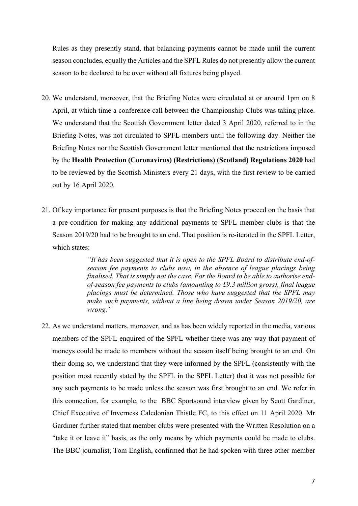Rules as they presently stand, that balancing payments cannot be made until the current season concludes, equally the Articles and the SPFL Rules do not presently allow the current season to be declared to be over without all fixtures being played.

- 20. We understand, moreover, that the Briefing Notes were circulated at or around 1pm on 8 April, at which time a conference call between the Championship Clubs was taking place. We understand that the Scottish Government letter dated 3 April 2020, referred to in the Briefing Notes, was not circulated to SPFL members until the following day. Neither the Briefing Notes nor the Scottish Government letter mentioned that the restrictions imposed by the **Health Protection (Coronavirus) (Restrictions) (Scotland) Regulations 2020** had to be reviewed by the Scottish Ministers every 21 days, with the first review to be carried out by 16 April 2020.
- 21. Of key importance for present purposes is that the Briefing Notes proceed on the basis that a pre-condition for making any additional payments to SPFL member clubs is that the Season 2019/20 had to be brought to an end. That position is re-iterated in the SPFL Letter, which states:

*"It has been suggested that it is open to the SPFL Board to distribute end-ofseason fee payments to clubs now, in the absence of league placings being finalised. That is simply not the case. For the Board to be able to authorise endof-season fee payments to clubs (amounting to £9.3 million gross), final league placings must be determined. Those who have suggested that the SPFL may make such payments, without a line being drawn under Season 2019/20, are wrong."* 

22. As we understand matters, moreover, and as has been widely reported in the media, various members of the SPFL enquired of the SPFL whether there was any way that payment of moneys could be made to members without the season itself being brought to an end. On their doing so, we understand that they were informed by the SPFL (consistently with the position most recently stated by the SPFL in the SPFL Letter) that it was not possible for any such payments to be made unless the season was first brought to an end. We refer in this connection, for example, to the BBC Sportsound interview given by Scott Gardiner, Chief Executive of Inverness Caledonian Thistle FC, to this effect on 11 April 2020. Mr Gardiner further stated that member clubs were presented with the Written Resolution on a "take it or leave it" basis, as the only means by which payments could be made to clubs. The BBC journalist, Tom English, confirmed that he had spoken with three other member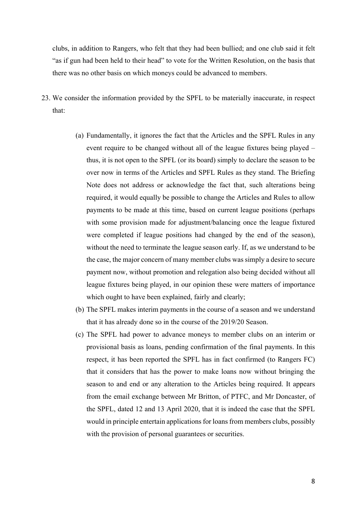clubs, in addition to Rangers, who felt that they had been bullied; and one club said it felt "as if gun had been held to their head" to vote for the Written Resolution, on the basis that there was no other basis on which moneys could be advanced to members.

- 23. We consider the information provided by the SPFL to be materially inaccurate, in respect that:
	- (a) Fundamentally, it ignores the fact that the Articles and the SPFL Rules in any event require to be changed without all of the league fixtures being played – thus, it is not open to the SPFL (or its board) simply to declare the season to be over now in terms of the Articles and SPFL Rules as they stand. The Briefing Note does not address or acknowledge the fact that, such alterations being required, it would equally be possible to change the Articles and Rules to allow payments to be made at this time, based on current league positions (perhaps with some provision made for adjustment/balancing once the league fixtured were completed if league positions had changed by the end of the season), without the need to terminate the league season early. If, as we understand to be the case, the major concern of many member clubs was simply a desire to secure payment now, without promotion and relegation also being decided without all league fixtures being played, in our opinion these were matters of importance which ought to have been explained, fairly and clearly;
	- (b) The SPFL makes interim payments in the course of a season and we understand that it has already done so in the course of the 2019/20 Season.
	- (c) The SPFL had power to advance moneys to member clubs on an interim or provisional basis as loans, pending confirmation of the final payments. In this respect, it has been reported the SPFL has in fact confirmed (to Rangers FC) that it considers that has the power to make loans now without bringing the season to and end or any alteration to the Articles being required. It appears from the email exchange between Mr Britton, of PTFC, and Mr Doncaster, of the SPFL, dated 12 and 13 April 2020, that it is indeed the case that the SPFL would in principle entertain applications for loans from members clubs, possibly with the provision of personal guarantees or securities.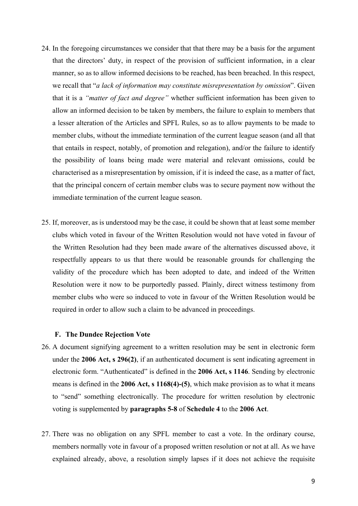- 24. In the foregoing circumstances we consider that that there may be a basis for the argument that the directors' duty, in respect of the provision of sufficient information, in a clear manner, so as to allow informed decisions to be reached, has been breached. In this respect, we recall that "*a lack of information may constitute misrepresentation by omission*". Given that it is a *"matter of fact and degree"* whether sufficient information has been given to allow an informed decision to be taken by members, the failure to explain to members that a lesser alteration of the Articles and SPFL Rules, so as to allow payments to be made to member clubs, without the immediate termination of the current league season (and all that that entails in respect, notably, of promotion and relegation), and/or the failure to identify the possibility of loans being made were material and relevant omissions, could be characterised as a misrepresentation by omission, if it is indeed the case, as a matter of fact, that the principal concern of certain member clubs was to secure payment now without the immediate termination of the current league season.
- 25. If, moreover, as is understood may be the case, it could be shown that at least some member clubs which voted in favour of the Written Resolution would not have voted in favour of the Written Resolution had they been made aware of the alternatives discussed above, it respectfully appears to us that there would be reasonable grounds for challenging the validity of the procedure which has been adopted to date, and indeed of the Written Resolution were it now to be purportedly passed. Plainly, direct witness testimony from member clubs who were so induced to vote in favour of the Written Resolution would be required in order to allow such a claim to be advanced in proceedings.

#### **F. The Dundee Rejection Vote**

- 26. A document signifying agreement to a written resolution may be sent in electronic form under the **2006 Act, s 296(2)**, if an authenticated document is sent indicating agreement in electronic form. "Authenticated" is defined in the **2006 Act, s 1146**. Sending by electronic means is defined in the **2006 Act, s 1168(4)-(5)**, which make provision as to what it means to "send" something electronically. The procedure for written resolution by electronic voting is supplemented by **paragraphs 5-8** of **Schedule 4** to the **2006 Act**.
- 27. There was no obligation on any SPFL member to cast a vote. In the ordinary course, members normally vote in favour of a proposed written resolution or not at all. As we have explained already, above, a resolution simply lapses if it does not achieve the requisite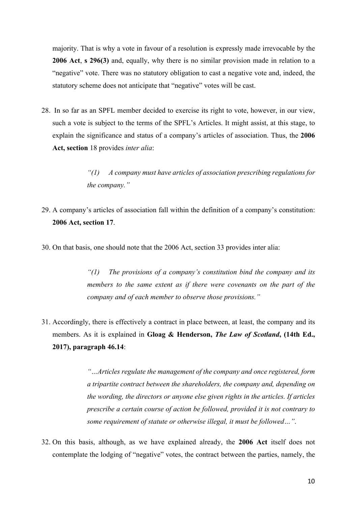majority. That is why a vote in favour of a resolution is expressly made irrevocable by the **2006 Act**, **s 296(3)** and, equally, why there is no similar provision made in relation to a "negative" vote. There was no statutory obligation to cast a negative vote and, indeed, the statutory scheme does not anticipate that "negative" votes will be cast.

28. In so far as an SPFL member decided to exercise its right to vote, however, in our view, such a vote is subject to the terms of the SPFL's Articles. It might assist, at this stage, to explain the significance and status of a company's articles of association. Thus, the **2006 Act, section** 18 provides *inter alia*:

> *"(1) A company must have articles of association prescribing regulations for the company."*

- 29. A company's articles of association fall within the definition of a company's constitution: **2006 Act, section 17**.
- 30. On that basis, one should note that the 2006 Act, section 33 provides inter alia:

*"(1) The provisions of a company's constitution bind the company and its members to the same extent as if there were covenants on the part of the company and of each member to observe those provisions."* 

31. Accordingly, there is effectively a contract in place between, at least, the company and its members. As it is explained in **Gloag & Henderson,** *The Law of Scotland***, (14th Ed., 2017), paragraph 46.14**:

> *"…Articles regulate the management of the company and once registered, form a tripartite contract between the shareholders, the company and, depending on the wording, the directors or anyone else given rights in the articles. If articles prescribe a certain course of action be followed, provided it is not contrary to some requirement of statute or otherwise illegal, it must be followed…"*.

32. On this basis, although, as we have explained already, the **2006 Act** itself does not contemplate the lodging of "negative" votes, the contract between the parties, namely, the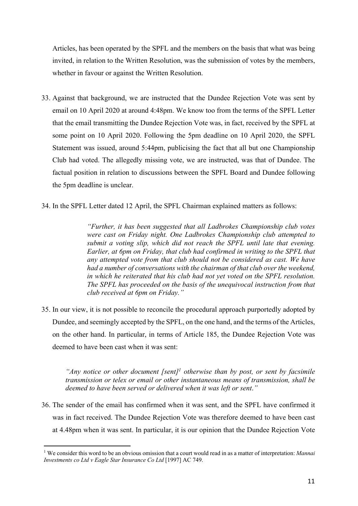Articles, has been operated by the SPFL and the members on the basis that what was being invited, in relation to the Written Resolution, was the submission of votes by the members, whether in favour or against the Written Resolution.

- 33. Against that background, we are instructed that the Dundee Rejection Vote was sent by email on 10 April 2020 at around 4:48pm. We know too from the terms of the SPFL Letter that the email transmitting the Dundee Rejection Vote was, in fact, received by the SPFL at some point on 10 April 2020. Following the 5pm deadline on 10 April 2020, the SPFL Statement was issued, around 5:44pm, publicising the fact that all but one Championship Club had voted. The allegedly missing vote, we are instructed, was that of Dundee. The factual position in relation to discussions between the SPFL Board and Dundee following the 5pm deadline is unclear.
- 34. In the SPFL Letter dated 12 April, the SPFL Chairman explained matters as follows:

*"Further, it has been suggested that all Ladbrokes Championship club votes were cast on Friday night. One Ladbrokes Championship club attempted to submit a voting slip, which did not reach the SPFL until late that evening. Earlier, at 6pm on Friday, that club had confirmed in writing to the SPFL that any attempted vote from that club should not be considered as cast. We have had a number of conversations with the chairman of that club over the weekend, in which he reiterated that his club had not yet voted on the SPFL resolution. The SPFL has proceeded on the basis of the unequivocal instruction from that club received at 6pm on Friday."* 

35. In our view, it is not possible to reconcile the procedural approach purportedly adopted by Dundee, and seemingly accepted by the SPFL, on the one hand, and the terms of the Articles, on the other hand. In particular, in terms of Article 185, the Dundee Rejection Vote was deemed to have been cast when it was sent:

*"Any notice or other document [sent]<sup>1</sup> otherwise than by post, or sent by facsimile transmission or telex or email or other instantaneous means of transmission, shall be deemed to have been served or delivered when it was left or sent*.*"* 

36. The sender of the email has confirmed when it was sent, and the SPFL have confirmed it was in fact received. The Dundee Rejection Vote was therefore deemed to have been cast at 4.48pm when it was sent. In particular, it is our opinion that the Dundee Rejection Vote

<sup>1</sup> We consider this word to be an obvious omission that a court would read in as a matter of interpretation: *Mannai Investments co Ltd v Eagle Star Insurance Co Ltd* [1997] AC 749.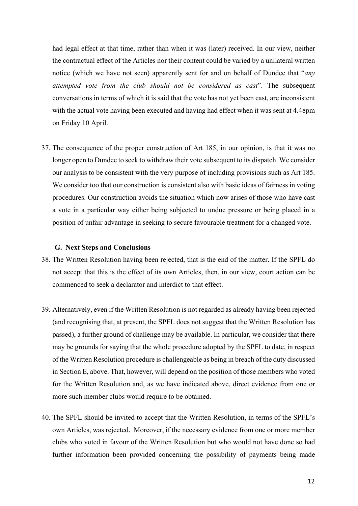had legal effect at that time, rather than when it was (later) received. In our view, neither the contractual effect of the Articles nor their content could be varied by a unilateral written notice (which we have not seen) apparently sent for and on behalf of Dundee that "*any attempted vote from the club should not be considered as cast*". The subsequent conversations in terms of which it is said that the vote has not yet been cast, are inconsistent with the actual vote having been executed and having had effect when it was sent at 4.48pm on Friday 10 April.

37. The consequence of the proper construction of Art 185, in our opinion, is that it was no longer open to Dundee to seek to withdraw their vote subsequent to its dispatch. We consider our analysis to be consistent with the very purpose of including provisions such as Art 185. We consider too that our construction is consistent also with basic ideas of fairness in voting procedures. Our construction avoids the situation which now arises of those who have cast a vote in a particular way either being subjected to undue pressure or being placed in a position of unfair advantage in seeking to secure favourable treatment for a changed vote.

## **G. Next Steps and Conclusions**

- 38. The Written Resolution having been rejected, that is the end of the matter. If the SPFL do not accept that this is the effect of its own Articles, then, in our view, court action can be commenced to seek a declarator and interdict to that effect.
- 39. Alternatively, even if the Written Resolution is not regarded as already having been rejected (and recognising that, at present, the SPFL does not suggest that the Written Resolution has passed), a further ground of challenge may be available. In particular, we consider that there may be grounds for saying that the whole procedure adopted by the SPFL to date, in respect of the Written Resolution procedure is challengeable as being in breach of the duty discussed in Section E, above. That, however, will depend on the position of those members who voted for the Written Resolution and, as we have indicated above, direct evidence from one or more such member clubs would require to be obtained.
- 40. The SPFL should be invited to accept that the Written Resolution, in terms of the SPFL's own Articles, was rejected. Moreover, if the necessary evidence from one or more member clubs who voted in favour of the Written Resolution but who would not have done so had further information been provided concerning the possibility of payments being made